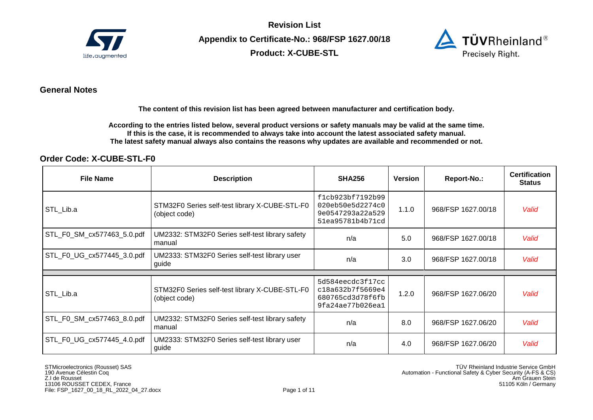

**Revision List Appendix to Certificate-No.: 968/FSP 1627.00/18 Product: X-CUBE-STL** 



## **General Notes**

**The content of this revision list has been agreed between manufacturer and certification body.** 

**According to the entries listed below, several product versions or safety manuals may be valid at the same time. If this is the case, it is recommended to always take into account the latest associated safety manual. The latest safety manual always also contains the reasons why updates are available and recommended or not.**

### **Order Code: X-CUBE-STL-F0**

| <b>File Name</b>           | <b>Description</b>                                              | <b>SHA256</b>                                                                | Version | Report-No.:        | <b>Certification</b><br><b>Status</b> |
|----------------------------|-----------------------------------------------------------------|------------------------------------------------------------------------------|---------|--------------------|---------------------------------------|
| STL_Lib.a                  | STM32F0 Series self-test library X-CUBE-STL-F0<br>(object code) | f1cb923bf7192b99<br>020eb50e5d2274c0<br>9e0547293a22a529<br>51ea95781b4b71cd | 1.1.0   | 968/FSP 1627.00/18 | Valid                                 |
| STL_F0_SM_cx577463_5.0.pdf | UM2332: STM32F0 Series self-test library safety<br>manual       | n/a                                                                          | 5.0     | 968/FSP 1627.00/18 | Valid                                 |
| STL_F0_UG_cx577445_3.0.pdf | UM2333: STM32F0 Series self-test library user<br>guide          | n/a                                                                          | 3.0     | 968/FSP 1627.00/18 | Valid                                 |
| STL Lib.a                  | STM32F0 Series self-test library X-CUBE-STL-F0<br>(object code) | 5d584eecdc3f17cc<br>c18a632b7f5669e4<br>680765cd3d78f6fb<br>9fa24ae77b026ea1 | 1.2.0   | 968/FSP 1627.06/20 | Valid                                 |
| STL_F0_SM_cx577463_8.0.pdf | UM2332: STM32F0 Series self-test library safety<br>manual       | n/a                                                                          | 8.0     | 968/FSP 1627.06/20 | Valid                                 |
| STL_F0_UG_cx577445_4.0.pdf | UM2333: STM32F0 Series self-test library user<br>guide          | n/a                                                                          | 4.0     | 968/FSP 1627.06/20 | Valid                                 |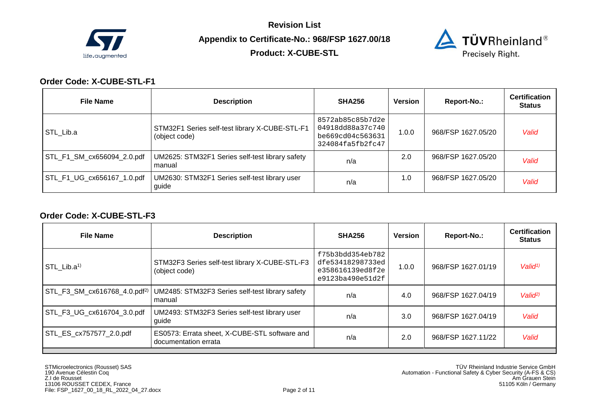

**Product: X-CUBE-STL** 



## **Order Code: X-CUBE-STL-F1**

| <b>File Name</b>           | <b>Description</b>                                              | <b>SHA256</b>                                                                | <b>Version</b> | Report-No.:        | <b>Certification</b><br><b>Status</b> |
|----------------------------|-----------------------------------------------------------------|------------------------------------------------------------------------------|----------------|--------------------|---------------------------------------|
| STL Lib.a                  | STM32F1 Series self-test library X-CUBE-STL-F1<br>(object code) | 8572ab85c85b7d2e<br>04918dd88a37c740<br>be669cd04c563631<br>324084fa5fb2fc47 | 1.0.0          | 968/FSP 1627.05/20 | Valid                                 |
| STL_F1_SM_cx656094_2.0.pdf | UM2625: STM32F1 Series self-test library safety<br>manual       | n/a                                                                          | 2.0            | 968/FSP 1627.05/20 | Valid                                 |
| STL_F1_UG_cx656167_1.0.pdf | UM2630: STM32F1 Series self-test library user<br>guide          | n/a                                                                          | 1.0            | 968/FSP 1627.05/20 | Valid                                 |

#### **Order Code: X-CUBE-STL-F3**

| <b>File Name</b>           | <b>Description</b>                                                                                     | <b>SHA256</b>                                                                | Version | Report-No.:        | <b>Certification</b><br>Status |
|----------------------------|--------------------------------------------------------------------------------------------------------|------------------------------------------------------------------------------|---------|--------------------|--------------------------------|
| STL Lib. $a^{1}$           | STM32F3 Series self-test library X-CUBE-STL-F3<br>(object code)                                        | f75b3bdd354eb782<br>dfe53418298733ed<br>e358616139ed8f2e<br>e9123ba490e51d2f | 1.0.0   | 968/FSP 1627.01/19 | Valid <sup>1</sup>             |
|                            | STL_F3_SM_cx616768_4.0.pdf <sup>2)</sup>   UM2485: STM32F3 Series self-test library safety<br>l manual | n/a                                                                          | 4.0     | 968/FSP 1627.04/19 | Valid <sup>2</sup>             |
| STL_F3_UG_cx616704_3.0.pdf | UM2493: STM32F3 Series self-test library user<br>guide                                                 | n/a                                                                          | 3.0     | 968/FSP 1627.04/19 | Valid                          |
| STL_ES_cx757577_2.0.pdf    | ES0573: Errata sheet, X-CUBE-STL software and<br>documentation errata                                  | n/a                                                                          | 2.0     | 968/FSP 1627.11/22 | Valid                          |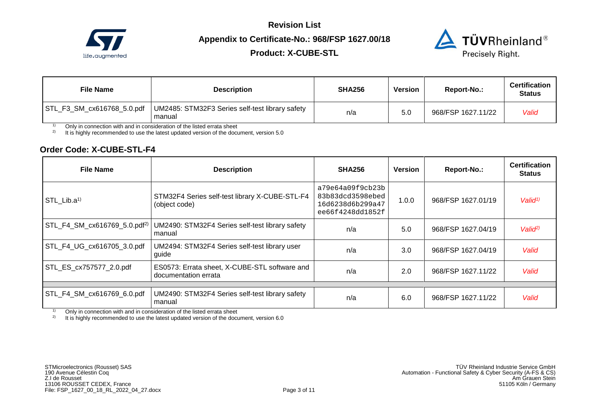

# **Product: X-CUBE-STL**



| <b>File Name</b>           | <b>Description</b>                                        | <b>SHA256</b> | Version         | Report-No.:        | <b>Certification</b><br><b>Status</b> |
|----------------------------|-----------------------------------------------------------|---------------|-----------------|--------------------|---------------------------------------|
| STL_F3_SM_cx616768_5.0.pdf | UM2485: STM32F3 Series self-test library safety<br>manual | n/a           | 5. <sub>C</sub> | 968/FSP 1627.11/22 | Valid                                 |

<sup>1)</sup> Only in connection with and in consideration of the listed errata sheet  $\frac{2}{1}$  It is bigbly recommended to use the latest undated version of the docum

2) It is highly recommended to use the latest updated version of the document, version 5.0

#### **Order Code: X-CUBE-STL-F4**

| <b>File Name</b>           | <b>Description</b>                                                    | <b>SHA256</b>                                                                | <b>Version</b> | Report-No.:        | <b>Certification</b><br><b>Status</b> |
|----------------------------|-----------------------------------------------------------------------|------------------------------------------------------------------------------|----------------|--------------------|---------------------------------------|
| STL Lib.a <sup>1)</sup>    | STM32F4 Series self-test library X-CUBE-STL-F4<br>(object code)       | a79e64a09f9cb23b<br>83b83dcd3598ebed<br>16d6238d6b299a47<br>ee66f4248dd1852f | 1.0.0          | 968/FSP 1627.01/19 | Valid <sup>1</sup>                    |
|                            | UM2490: STM32F4 Series self-test library safety<br>manual             | n/a                                                                          | 5.0            | 968/FSP 1627.04/19 | Valid <sup>2</sup>                    |
| STL_F4_UG_cx616705_3.0.pdf | UM2494: STM32F4 Series self-test library user<br>guide                | n/a                                                                          | 3.0            | 968/FSP 1627.04/19 | Valid                                 |
| STL_ES_cx757577_2.0.pdf    | ES0573: Errata sheet, X-CUBE-STL software and<br>documentation errata | n/a                                                                          | 2.0            | 968/FSP 1627.11/22 | Valid                                 |
|                            |                                                                       |                                                                              |                |                    |                                       |
| STL_F4_SM_cx616769_6.0.pdf | UM2490: STM32F4 Series self-test library safety<br>manual             | n/a                                                                          | 6.0            | 968/FSP 1627.11/22 | Valid                                 |

<sup>1)</sup> Only in connection with and in consideration of the listed errata sheet  $\frac{2}{1}$  It is highly recommended to use the latest updated version of the documents

It is highly recommended to use the latest updated version of the document, version 6.0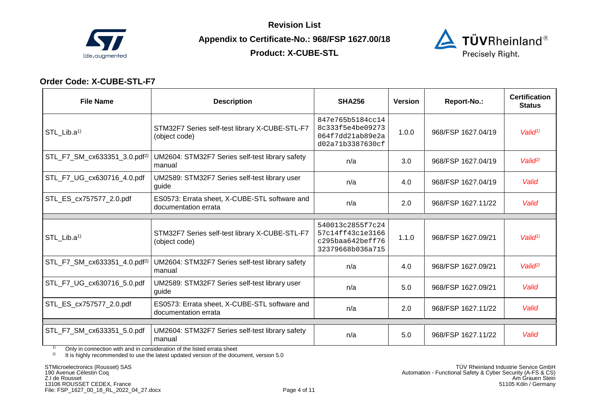

**Product: X-CUBE-STL** 



## **Order Code: X-CUBE-STL-F7**

| <b>File Name</b>                         | <b>Description</b>                                                    | <b>SHA256</b>                                                                | <b>Version</b> | Report-No.:        | <b>Certification</b><br><b>Status</b> |
|------------------------------------------|-----------------------------------------------------------------------|------------------------------------------------------------------------------|----------------|--------------------|---------------------------------------|
| STL_Lib.a <sup>1)</sup>                  | STM32F7 Series self-test library X-CUBE-STL-F7<br>(object code)       | 847e765b5184cc14<br>8c333f5e4be09273<br>064f7dd21ab89e2a<br>d02a71b3387630cf | 1.0.0          | 968/FSP 1627.04/19 | Valid <sup>1</sup>                    |
| STL_F7_SM_cx633351_3.0.pdf <sup>2)</sup> | UM2604: STM32F7 Series self-test library safety<br>manual             | n/a                                                                          | 3.0            | 968/FSP 1627.04/19 | Valid <sup>2)</sup>                   |
| STL_F7_UG_cx630716_4.0.pdf               | UM2589: STM32F7 Series self-test library user<br>guide                | n/a                                                                          | 4.0            | 968/FSP 1627.04/19 | Valid                                 |
| STL_ES_cx757577_2.0.pdf                  | ES0573: Errata sheet, X-CUBE-STL software and<br>documentation errata | n/a                                                                          | 2.0            | 968/FSP 1627.11/22 | Valid                                 |
| STL Lib.a <sup>1)</sup>                  | STM32F7 Series self-test library X-CUBE-STL-F7<br>(object code)       | 540013c2855f7c24<br>57c14ff43c1e3166<br>c295baa642beff76<br>32379668b036a715 | 1.1.0          | 968/FSP 1627.09/21 | Valid <sup>1</sup>                    |
| STL_F7_SM_cx633351_4.0.pdf <sup>2)</sup> | UM2604: STM32F7 Series self-test library safety<br>manual             | n/a                                                                          | 4.0            | 968/FSP 1627.09/21 | Valid <sup>2</sup>                    |
| STL F7 UG cx630716 5.0.pdf               | UM2589: STM32F7 Series self-test library user<br>guide                | n/a                                                                          | 5.0            | 968/FSP 1627.09/21 | Valid                                 |
| STL ES cx757577 2.0.pdf                  | ES0573: Errata sheet, X-CUBE-STL software and<br>documentation errata | n/a                                                                          | 2.0            | 968/FSP 1627.11/22 | Valid                                 |
| STL_F7_SM_cx633351_5.0.pdf               | UM2604: STM32F7 Series self-test library safety<br>manual             | n/a                                                                          | 5.0            | 968/FSP 1627.11/22 | Valid                                 |

<sup>1)</sup> Only in connection with and in consideration of the listed errata sheet  $\frac{2}{1}$  It is highly recommended to use the latest updated version of the docum

It is highly recommended to use the latest updated version of the document, version 5.0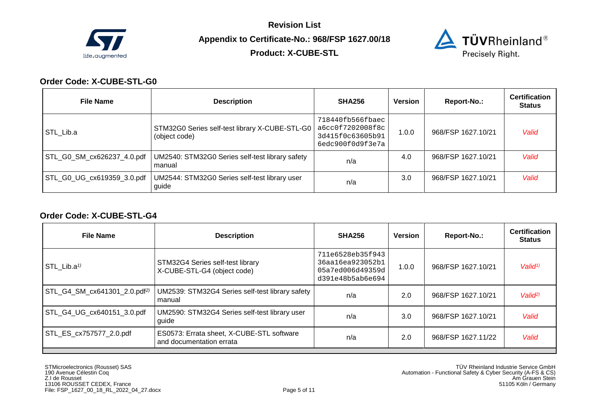

**Product: X-CUBE-STL** 



## **Order Code: X-CUBE-STL-G0**

| <b>File Name</b> | <b>Description</b>                                                                     | <b>SHA256</b>                                                                | Version | Report-No.:        | <b>Certification</b><br><b>Status</b> |
|------------------|----------------------------------------------------------------------------------------|------------------------------------------------------------------------------|---------|--------------------|---------------------------------------|
| STL Lib.a        | STM32G0 Series self-test library X-CUBE-STL-G0<br>(object code)                        | 718440fb566fbaec<br>a6cc0f7202008f8c<br>3d415f0c63605b91<br>6edc900f0d9f3e7a | 1.0.0   | 968/FSP 1627.10/21 | Valid                                 |
|                  | STL_G0_SM_cx626237_4.0.pdf   UM2540: STM32G0 Series self-test library safety<br>manual | n/a                                                                          | 4.0     | 968/FSP 1627.10/21 | Valid                                 |
|                  | STL_G0_UG_cx619359_3.0.pdf   UM2544: STM32G0 Series self-test library user<br>guide    | n/a                                                                          | 3.0     | 968/FSP 1627.10/21 | Valid                                 |

#### **Order Code: X-CUBE-STL-G4**

| <b>File Name</b>                         | <b>Description</b>                                                    | <b>SHA256</b>                                                                | <b>Version</b> | Report-No.:        | <b>Certification</b><br><b>Status</b> |
|------------------------------------------|-----------------------------------------------------------------------|------------------------------------------------------------------------------|----------------|--------------------|---------------------------------------|
| STL Lib.a <sup><math>1</math></sup>      | STM32G4 Series self-test library<br>X-CUBE-STL-G4 (object code)       | 711e6528eb35f943<br>36aa16ea923052b1<br>05a7ed006d49359d<br>d391e48b5ab6e694 | 1.0.0          | 968/FSP 1627.10/21 | Valid <sup>1</sup>                    |
| STL_G4_SM_cx641301_2.0.pdf <sup>2)</sup> | UM2539: STM32G4 Series self-test library safety<br>manual             | n/a                                                                          | 2.0            | 968/FSP 1627.10/21 | Valid <sup>2</sup>                    |
| STL_G4_UG_cx640151_3.0.pdf               | UM2590: STM32G4 Series self-test library user<br>guide                | n/a                                                                          | 3.0            | 968/FSP 1627.10/21 | Valid                                 |
| STL_ES_cx757577_2.0.pdf                  | ES0573: Errata sheet, X-CUBE-STL software<br>and documentation errata | n/a                                                                          | 2.0            | 968/FSP 1627.11/22 | Valid                                 |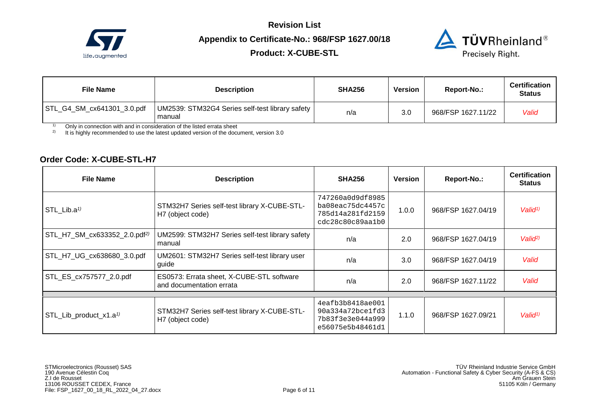

**Product: X-CUBE-STL** 



| <b>File Name</b>           | <b>Description</b>                                        | <b>SHA256</b> | <b>Version</b> | Report-No.:        | <b>Certification</b><br><b>Status</b> |
|----------------------------|-----------------------------------------------------------|---------------|----------------|--------------------|---------------------------------------|
| STL_G4_SM_cx641301_3.0.pdf | UM2539: STM32G4 Series self-test library safety<br>manual | n/a           | 3.0            | 968/FSP 1627.11/22 | Valid                                 |

<sup>1)</sup> Only in connection with and in consideration of the listed errata sheet  $\frac{2}{1}$  It is highly recommended to use the latest undated version of the docum

2) It is highly recommended to use the latest updated version of the document, version 3.0

#### **Order Code: X-CUBE-STL-H7**

| <b>File Name</b>                         | <b>Description</b>                                                    | <b>SHA256</b>                                                                | <b>Version</b> | Report-No.:        | <b>Certification</b><br><b>Status</b> |
|------------------------------------------|-----------------------------------------------------------------------|------------------------------------------------------------------------------|----------------|--------------------|---------------------------------------|
| STL Lib.a <sup><math>1</math></sup>      | STM32H7 Series self-test library X-CUBE-STL-<br>H7 (object code)      | 747260a0d9df8985<br>ba08eac75dc4457c<br>785d14a281fd2159<br>cdc28c80c89aa1b0 | 1.0.0          | 968/FSP 1627.04/19 | Valid <sup>1</sup>                    |
| STL_H7_SM_cx633352_2.0.pdf <sup>2)</sup> | UM2599: STM32H7 Series self-test library safety<br>manual             | n/a                                                                          | 2.0            | 968/FSP 1627.04/19 | Valio <sup>(2)</sup>                  |
| STL_H7_UG_cx638680_3.0.pdf               | UM2601: STM32H7 Series self-test library user<br>guide                | n/a                                                                          | 3.0            | 968/FSP 1627.04/19 | Valid                                 |
| STL_ES_cx757577_2.0.pdf                  | ES0573: Errata sheet, X-CUBE-STL software<br>and documentation errata | n/a                                                                          | 2.0            | 968/FSP 1627.11/22 | Valid                                 |
|                                          |                                                                       |                                                                              |                |                    |                                       |
| STL_Lib_product_x1.a <sup>1)</sup>       | STM32H7 Series self-test library X-CUBE-STL-<br>H7 (object code)      | 4eafb3b8418ae001<br>90a334a72bce1fd3<br>7b83f3e3e044a999<br>e56075e5b48461d1 | 1.1.0          | 968/FSP 1627.09/21 | Valid <sup>1</sup>                    |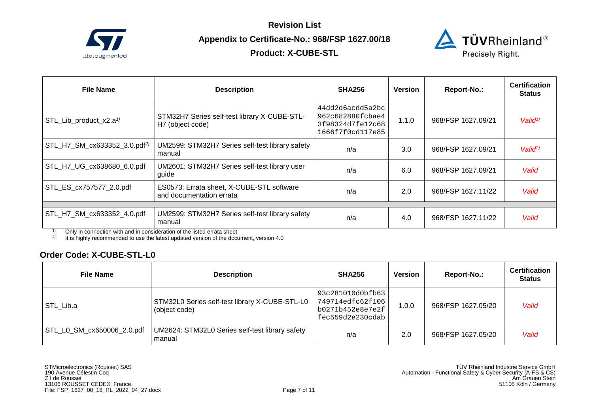

# **Product: X-CUBE-STL**



| <b>File Name</b>                                                                                                                                                                                                                                                                               | <b>Description</b>                                                    | <b>SHA256</b>                                                                | Version | Report-No.:        | <b>Certification</b><br><b>Status</b> |
|------------------------------------------------------------------------------------------------------------------------------------------------------------------------------------------------------------------------------------------------------------------------------------------------|-----------------------------------------------------------------------|------------------------------------------------------------------------------|---------|--------------------|---------------------------------------|
| STL_Lib_product_x2.a <sup>1)</sup>                                                                                                                                                                                                                                                             | STM32H7 Series self-test library X-CUBE-STL-<br>H7 (object code)      | 44dd2d6acdd5a2bc<br>962c682880fcbae4<br>3f98324d7fe12c68<br>1666f7f0cd117e85 | 1.1.0   | 968/FSP 1627.09/21 | Valid <sup>1</sup>                    |
| STL_H7_SM_cx633352_3.0.pdf <sup>2)</sup>                                                                                                                                                                                                                                                       | UM2599: STM32H7 Series self-test library safety<br>manual             | n/a                                                                          | 3.0     | 968/FSP 1627.09/21 | Valid <sup>2</sup>                    |
| STL_H7_UG_cx638680_6.0.pdf                                                                                                                                                                                                                                                                     | UM2601: STM32H7 Series self-test library user<br>guide                | n/a                                                                          | 6.0     | 968/FSP 1627.09/21 | Valid                                 |
| STL ES cx757577 2.0.pdf                                                                                                                                                                                                                                                                        | ES0573: Errata sheet, X-CUBE-STL software<br>and documentation errata | n/a                                                                          | 2.0     | 968/FSP 1627.11/22 | Valid                                 |
|                                                                                                                                                                                                                                                                                                |                                                                       |                                                                              |         |                    |                                       |
| STL_H7_SM_cx633352_4.0.pdf<br>$\sim$ $\sim$ $\sim$ $\sim$<br>$\mathbf{r}$ , and the state of the state of the state of the state of the state of the state of the state of the state of the state of the state of the state of the state of the state of the state of the state of the state o | UM2599: STM32H7 Series self-test library safety<br>manual             | n/a                                                                          | 4.0     | 968/FSP 1627.11/22 | Valid                                 |

 $1$ <sup>1)</sup> Only in connection with and in consideration of the listed errata sheet

<sup>2)</sup> It is highly recommended to use the latest updated version of the document, version 4.0

## **Order Code: X-CUBE-STL-L0**

| <b>File Name</b>           | <b>Description</b>                                              | <b>SHA256</b>                                                                | Version | Report-No.:        | <b>Certification</b><br><b>Status</b> |
|----------------------------|-----------------------------------------------------------------|------------------------------------------------------------------------------|---------|--------------------|---------------------------------------|
| STL Lib.a                  | STM32L0 Series self-test library X-CUBE-STL-L0<br>(object code) | 93c281010d0bfb63<br>749714edfc62f106<br>b0271b452e8e7e2f<br>fec559d2e230cdab | 1.0.0   | 968/FSP 1627.05/20 | Valid                                 |
| STL L0 SM cx650006 2.0.pdf | UM2624: STM32L0 Series self-test library safety<br>manual       | n/a                                                                          | 2.0     | 968/FSP 1627.05/20 | Valid                                 |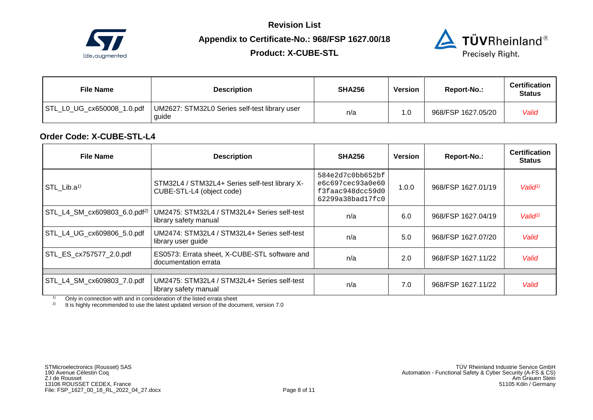

**Product: X-CUBE-STL** 



| <b>File Name</b>           | <b>Description</b>                                     | <b>SHA256</b> | Version | Report-No.:        | <b>Certification</b><br><b>Status</b> |
|----------------------------|--------------------------------------------------------|---------------|---------|--------------------|---------------------------------------|
| STL_L0_UG_cx650008_1.0.pdf | UM2627: STM32L0 Series self-test library user<br>quide | n/a           | .0      | 968/FSP 1627.05/20 | Valid                                 |

### **Order Code: X-CUBE-STL-L4**

| <b>File Name</b>                         | <b>Description</b>                                                          | <b>SHA256</b>                                                                | <b>Version</b> | Report-No.:        | <b>Certification</b><br><b>Status</b> |  |
|------------------------------------------|-----------------------------------------------------------------------------|------------------------------------------------------------------------------|----------------|--------------------|---------------------------------------|--|
| STL Lib.a <sup><math>1</math></sup>      | STM32L4 / STM32L4+ Series self-test library X-<br>CUBE-STL-L4 (object code) | 584e2d7c0bb652bf<br>e6c697cec93a0e60<br>f3faac948dcc59d0<br>62299a38bad17fc0 | 1.0.0          | 968/FSP 1627.01/19 | Valid <sup>1)</sup>                   |  |
| STL_L4_SM_cx609803_6.0.pdf <sup>2)</sup> | UM2475: STM32L4 / STM32L4+ Series self-test<br>library safety manual        | n/a                                                                          | 6.0            | 968/FSP 1627.04/19 | Valid <sup>2</sup>                    |  |
| STL_L4_UG_cx609806_5.0.pdf               | UM2474: STM32L4 / STM32L4+ Series self-test<br>library user guide           | n/a                                                                          | 5.0            | 968/FSP 1627.07/20 | Valid                                 |  |
| STL_ES_cx757577_2.0.pdf                  | ES0573: Errata sheet, X-CUBE-STL software and<br>documentation errata       | n/a                                                                          | 2.0            | 968/FSP 1627.11/22 | Valid                                 |  |
|                                          |                                                                             |                                                                              |                |                    |                                       |  |
| STL_L4_SM_cx609803_7.0.pdf               | UM2475: STM32L4 / STM32L4+ Series self-test<br>library safety manual        | n/a                                                                          | 7.0            | 968/FSP 1627.11/22 | Valid                                 |  |

 $1)$  Only in connection with and in consideration of the listed errata sheet

<sup>2)</sup> It is highly recommended to use the latest updated version of the document, version 7.0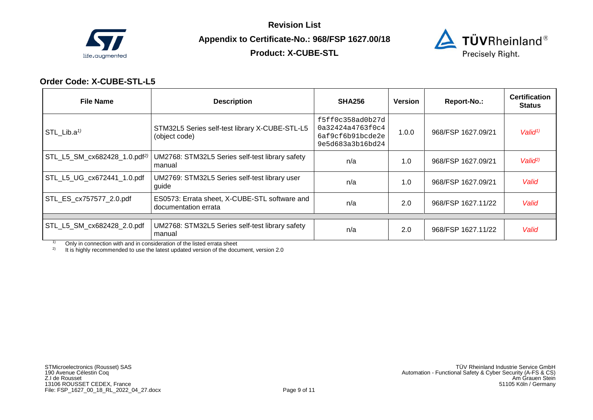

**Product: X-CUBE-STL** 



## **Order Code: X-CUBE-STL-L5**

| <b>File Name</b>                         | <b>Description</b>                                                    | <b>SHA256</b>                                                                | Version | Report-No.:        | <b>Certification</b><br><b>Status</b> |
|------------------------------------------|-----------------------------------------------------------------------|------------------------------------------------------------------------------|---------|--------------------|---------------------------------------|
| $STL$ Lib.a <sup>1)</sup>                | STM32L5 Series self-test library X-CUBE-STL-L5<br>(object code)       | f5ff0c358ad0b27d<br>0a32424a4763f0c4<br>6af9cf6b91bcde2e<br>9e5d683a3b16bd24 | 1.0.0   | 968/FSP 1627.09/21 | Valid <sup>1)</sup>                   |
| STL_L5_SM_cx682428_1.0.pdf <sup>2)</sup> | UM2768: STM32L5 Series self-test library safety<br>manual             | n/a                                                                          | 1.0     | 968/FSP 1627.09/21 | Valid <sup>2</sup>                    |
| STL_L5_UG_cx672441_1.0.pdf               | UM2769: STM32L5 Series self-test library user<br>guide                | n/a                                                                          | 1.0     | 968/FSP 1627.09/21 | Valid                                 |
| STL_ES_cx757577_2.0.pdf                  | ES0573: Errata sheet, X-CUBE-STL software and<br>documentation errata | n/a                                                                          | 2.0     | 968/FSP 1627.11/22 | Valid                                 |
|                                          |                                                                       |                                                                              |         |                    |                                       |
| STL_L5_SM_cx682428_2.0.pdf               | UM2768: STM32L5 Series self-test library safety<br>manual             | n/a                                                                          | 2.0     | 968/FSP 1627.11/22 | Valid                                 |

<sup>1)</sup> Only in connection with and in consideration of the listed errata sheet  $\frac{2}{1}$  It is highly recommended to use the latest undated version of the docum

2) It is highly recommended to use the latest updated version of the document, version 2.0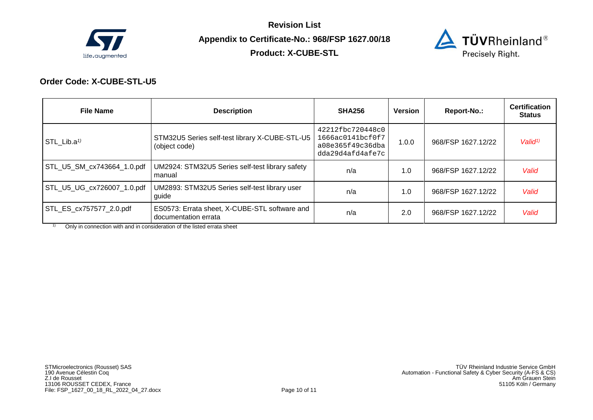

**Product: X-CUBE-STL** 



## **Order Code: X-CUBE-STL-U5**

| <b>File Name</b>                    | <b>Description</b>                                                    | <b>SHA256</b>                                                                | Version | Report-No.:        | <b>Certification</b><br><b>Status</b> |
|-------------------------------------|-----------------------------------------------------------------------|------------------------------------------------------------------------------|---------|--------------------|---------------------------------------|
| STL Lib.a <sup><math>1</math></sup> | STM32U5 Series self-test library X-CUBE-STL-U5<br>(object code)       | 42212fbc720448c0<br>1666ac0141bcf0f7<br>a08e365f49c36dba<br>dda29d4afd4afe7c | 1.0.0   | 968/FSP 1627.12/22 | Valid <sup>1</sup>                    |
| STL_U5_SM_cx743664_1.0.pdf          | UM2924: STM32U5 Series self-test library safety<br>l manual           | n/a                                                                          | 1.0     | 968/FSP 1627.12/22 | Valid                                 |
| STL_U5_UG_cx726007_1.0.pdf          | UM2893: STM32U5 Series self-test library user<br>guide                | n/a                                                                          | 1.0     | 968/FSP 1627.12/22 | Valid                                 |
| STL_ES_cx757577_2.0.pdf             | ES0573: Errata sheet, X-CUBE-STL software and<br>documentation errata | n/a                                                                          | 2.0     | 968/FSP 1627.12/22 | Valid                                 |

 $1)$  Only in connection with and in consideration of the listed errata sheet